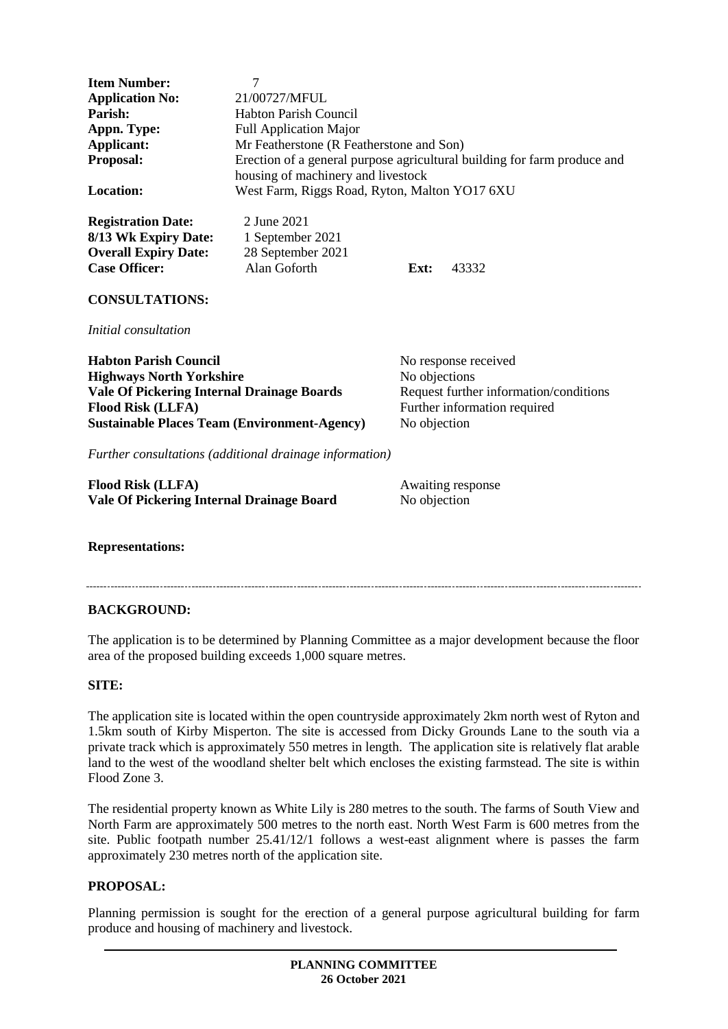| <b>Item Number:</b><br><b>Application No:</b><br>Parish:<br>Appn. Type:<br>Applicant:<br>Proposal:<br><b>Location:</b>                                                                                  | $\overline{7}$<br>21/00727/MFUL<br><b>Habton Parish Council</b><br><b>Full Application Major</b><br>Mr Featherstone (R Featherstone and Son)<br>Erection of a general purpose agricultural building for farm produce and<br>housing of machinery and livestock<br>West Farm, Riggs Road, Ryton, Malton YO17 6XU |                                                                                                                                 |       |
|---------------------------------------------------------------------------------------------------------------------------------------------------------------------------------------------------------|-----------------------------------------------------------------------------------------------------------------------------------------------------------------------------------------------------------------------------------------------------------------------------------------------------------------|---------------------------------------------------------------------------------------------------------------------------------|-------|
| <b>Registration Date:</b><br>8/13 Wk Expiry Date:<br><b>Overall Expiry Date:</b><br><b>Case Officer:</b>                                                                                                | 2 June 2021<br>1 September 2021<br>28 September 2021<br>Alan Goforth                                                                                                                                                                                                                                            | Ext:                                                                                                                            | 43332 |
| <b>CONSULTATIONS:</b><br><i>Initial consultation</i>                                                                                                                                                    |                                                                                                                                                                                                                                                                                                                 |                                                                                                                                 |       |
| <b>Habton Parish Council</b><br><b>Highways North Yorkshire</b><br><b>Vale Of Pickering Internal Drainage Boards</b><br><b>Flood Risk (LLFA)</b><br><b>Sustainable Places Team (Environment-Agency)</b> |                                                                                                                                                                                                                                                                                                                 | No response received<br>No objections<br>Request further information/conditions<br>Further information required<br>No objection |       |
| Further consultations (additional drainage information)                                                                                                                                                 |                                                                                                                                                                                                                                                                                                                 |                                                                                                                                 |       |
| <b>Flood Risk (LLFA)</b><br>Vale Of Pickering Internal Drainage Board                                                                                                                                   |                                                                                                                                                                                                                                                                                                                 | Awaiting response<br>No objection                                                                                               |       |
|                                                                                                                                                                                                         |                                                                                                                                                                                                                                                                                                                 |                                                                                                                                 |       |

#### **Representations:**

# **BACKGROUND:**

The application is to be determined by Planning Committee as a major development because the floor area of the proposed building exceeds 1,000 square metres.

#### **SITE:**

The application site is located within the open countryside approximately 2km north west of Ryton and 1.5km south of Kirby Misperton. The site is accessed from Dicky Grounds Lane to the south via a private track which is approximately 550 metres in length. The application site is relatively flat arable land to the west of the woodland shelter belt which encloses the existing farmstead. The site is within Flood Zone 3.

The residential property known as White Lily is 280 metres to the south. The farms of South View and North Farm are approximately 500 metres to the north east. North West Farm is 600 metres from the site. Public footpath number 25.41/12/1 follows a west-east alignment where is passes the farm approximately 230 metres north of the application site.

#### **PROPOSAL:**

Planning permission is sought for the erection of a general purpose agricultural building for farm produce and housing of machinery and livestock.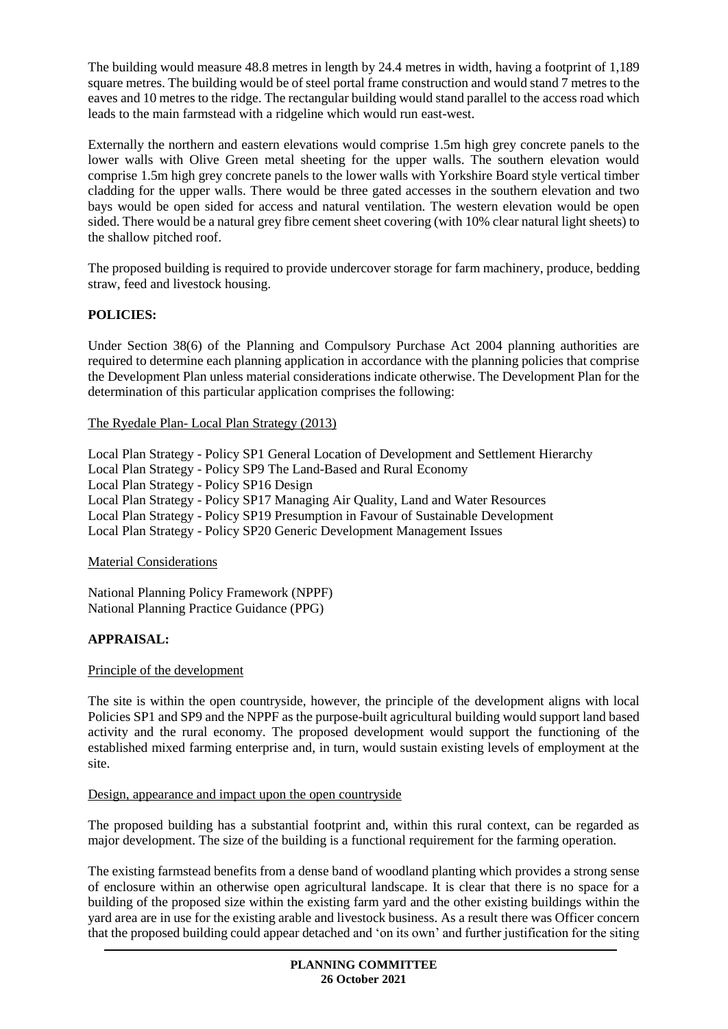The building would measure 48.8 metres in length by 24.4 metres in width, having a footprint of 1,189 square metres. The building would be of steel portal frame construction and would stand 7 metres to the eaves and 10 metres to the ridge. The rectangular building would stand parallel to the access road which leads to the main farmstead with a ridgeline which would run east-west.

Externally the northern and eastern elevations would comprise 1.5m high grey concrete panels to the lower walls with Olive Green metal sheeting for the upper walls. The southern elevation would comprise 1.5m high grey concrete panels to the lower walls with Yorkshire Board style vertical timber cladding for the upper walls. There would be three gated accesses in the southern elevation and two bays would be open sided for access and natural ventilation. The western elevation would be open sided. There would be a natural grey fibre cement sheet covering (with 10% clear natural light sheets) to the shallow pitched roof.

The proposed building is required to provide undercover storage for farm machinery, produce, bedding straw, feed and livestock housing.

# **POLICIES:**

Under Section 38(6) of the Planning and Compulsory Purchase Act 2004 planning authorities are required to determine each planning application in accordance with the planning policies that comprise the Development Plan unless material considerations indicate otherwise. The Development Plan for the determination of this particular application comprises the following:

The Ryedale Plan- Local Plan Strategy (2013)

Local Plan Strategy - Policy SP1 General Location of Development and Settlement Hierarchy Local Plan Strategy - Policy SP9 The Land-Based and Rural Economy Local Plan Strategy - Policy SP16 Design Local Plan Strategy - Policy SP17 Managing Air Quality, Land and Water Resources Local Plan Strategy - Policy SP19 Presumption in Favour of Sustainable Development Local Plan Strategy - Policy SP20 Generic Development Management Issues

# Material Considerations

National Planning Policy Framework (NPPF) National Planning Practice Guidance (PPG)

# **APPRAISAL:**

# Principle of the development

The site is within the open countryside, however, the principle of the development aligns with local Policies SP1 and SP9 and the NPPF as the purpose-built agricultural building would support land based activity and the rural economy. The proposed development would support the functioning of the established mixed farming enterprise and, in turn, would sustain existing levels of employment at the site.

#### Design, appearance and impact upon the open countryside

The proposed building has a substantial footprint and, within this rural context, can be regarded as major development. The size of the building is a functional requirement for the farming operation.

The existing farmstead benefits from a dense band of woodland planting which provides a strong sense of enclosure within an otherwise open agricultural landscape. It is clear that there is no space for a building of the proposed size within the existing farm yard and the other existing buildings within the yard area are in use for the existing arable and livestock business. As a result there was Officer concern that the proposed building could appear detached and 'on its own' and further justification for the siting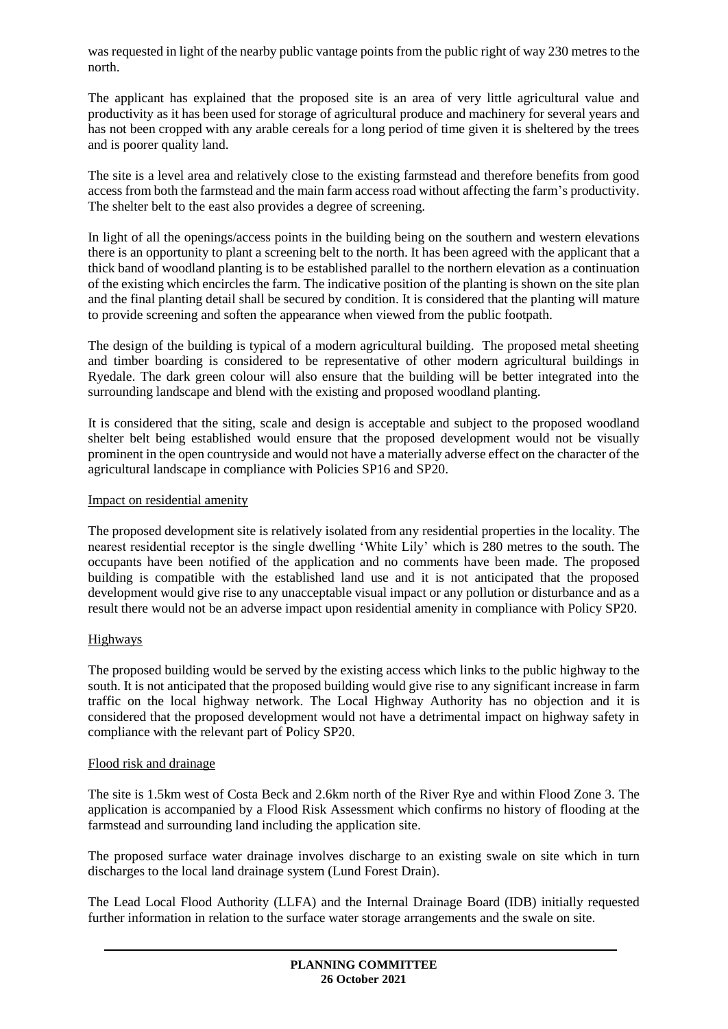was requested in light of the nearby public vantage points from the public right of way 230 metres to the north.

The applicant has explained that the proposed site is an area of very little agricultural value and productivity as it has been used for storage of agricultural produce and machinery for several years and has not been cropped with any arable cereals for a long period of time given it is sheltered by the trees and is poorer quality land.

The site is a level area and relatively close to the existing farmstead and therefore benefits from good access from both the farmstead and the main farm access road without affecting the farm's productivity. The shelter belt to the east also provides a degree of screening.

In light of all the openings/access points in the building being on the southern and western elevations there is an opportunity to plant a screening belt to the north. It has been agreed with the applicant that a thick band of woodland planting is to be established parallel to the northern elevation as a continuation of the existing which encircles the farm. The indicative position of the planting is shown on the site plan and the final planting detail shall be secured by condition. It is considered that the planting will mature to provide screening and soften the appearance when viewed from the public footpath.

The design of the building is typical of a modern agricultural building. The proposed metal sheeting and timber boarding is considered to be representative of other modern agricultural buildings in Ryedale. The dark green colour will also ensure that the building will be better integrated into the surrounding landscape and blend with the existing and proposed woodland planting.

It is considered that the siting, scale and design is acceptable and subject to the proposed woodland shelter belt being established would ensure that the proposed development would not be visually prominent in the open countryside and would not have a materially adverse effect on the character of the agricultural landscape in compliance with Policies SP16 and SP20.

# Impact on residential amenity

The proposed development site is relatively isolated from any residential properties in the locality. The nearest residential receptor is the single dwelling 'White Lily' which is 280 metres to the south. The occupants have been notified of the application and no comments have been made. The proposed building is compatible with the established land use and it is not anticipated that the proposed development would give rise to any unacceptable visual impact or any pollution or disturbance and as a result there would not be an adverse impact upon residential amenity in compliance with Policy SP20.

# Highways

The proposed building would be served by the existing access which links to the public highway to the south. It is not anticipated that the proposed building would give rise to any significant increase in farm traffic on the local highway network. The Local Highway Authority has no objection and it is considered that the proposed development would not have a detrimental impact on highway safety in compliance with the relevant part of Policy SP20.

#### Flood risk and drainage

The site is 1.5km west of Costa Beck and 2.6km north of the River Rye and within Flood Zone 3. The application is accompanied by a Flood Risk Assessment which confirms no history of flooding at the farmstead and surrounding land including the application site.

The proposed surface water drainage involves discharge to an existing swale on site which in turn discharges to the local land drainage system (Lund Forest Drain).

The Lead Local Flood Authority (LLFA) and the Internal Drainage Board (IDB) initially requested further information in relation to the surface water storage arrangements and the swale on site.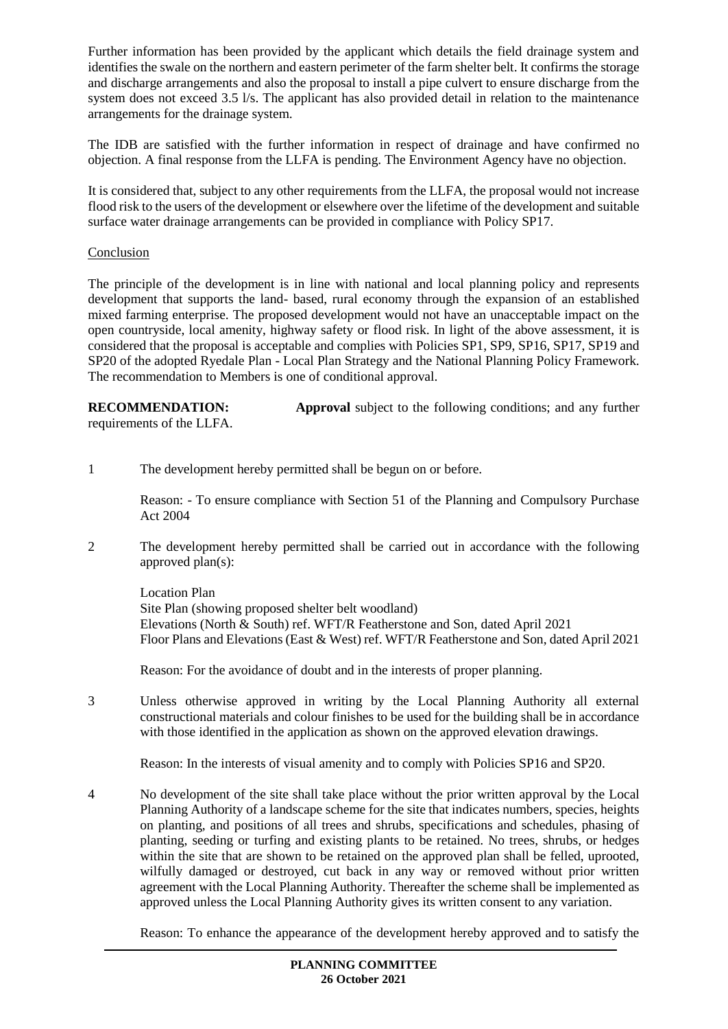Further information has been provided by the applicant which details the field drainage system and identifies the swale on the northern and eastern perimeter of the farm shelter belt. It confirms the storage and discharge arrangements and also the proposal to install a pipe culvert to ensure discharge from the system does not exceed 3.5 l/s. The applicant has also provided detail in relation to the maintenance arrangements for the drainage system.

The IDB are satisfied with the further information in respect of drainage and have confirmed no objection. A final response from the LLFA is pending. The Environment Agency have no objection.

It is considered that, subject to any other requirements from the LLFA, the proposal would not increase flood risk to the users of the development or elsewhere over the lifetime of the development and suitable surface water drainage arrangements can be provided in compliance with Policy SP17.

#### **Conclusion**

The principle of the development is in line with national and local planning policy and represents development that supports the land- based, rural economy through the expansion of an established mixed farming enterprise. The proposed development would not have an unacceptable impact on the open countryside, local amenity, highway safety or flood risk. In light of the above assessment, it is considered that the proposal is acceptable and complies with Policies SP1, SP9, SP16, SP17, SP19 and SP20 of the adopted Ryedale Plan - Local Plan Strategy and the National Planning Policy Framework. The recommendation to Members is one of conditional approval.

**RECOMMENDATION: Approval** subject to the following conditions; and any further requirements of the LLFA.

1 The development hereby permitted shall be begun on or before.

Reason: - To ensure compliance with Section 51 of the Planning and Compulsory Purchase Act 2004

2 The development hereby permitted shall be carried out in accordance with the following approved plan(s):

Location Plan Site Plan (showing proposed shelter belt woodland) Elevations (North & South) ref. WFT/R Featherstone and Son, dated April 2021 Floor Plans and Elevations (East & West) ref. WFT/R Featherstone and Son, dated April 2021

Reason: For the avoidance of doubt and in the interests of proper planning.

3 Unless otherwise approved in writing by the Local Planning Authority all external constructional materials and colour finishes to be used for the building shall be in accordance with those identified in the application as shown on the approved elevation drawings.

Reason: In the interests of visual amenity and to comply with Policies SP16 and SP20.

4 No development of the site shall take place without the prior written approval by the Local Planning Authority of a landscape scheme for the site that indicates numbers, species, heights on planting, and positions of all trees and shrubs, specifications and schedules, phasing of planting, seeding or turfing and existing plants to be retained. No trees, shrubs, or hedges within the site that are shown to be retained on the approved plan shall be felled, uprooted, wilfully damaged or destroyed, cut back in any way or removed without prior written agreement with the Local Planning Authority. Thereafter the scheme shall be implemented as approved unless the Local Planning Authority gives its written consent to any variation.

Reason: To enhance the appearance of the development hereby approved and to satisfy the